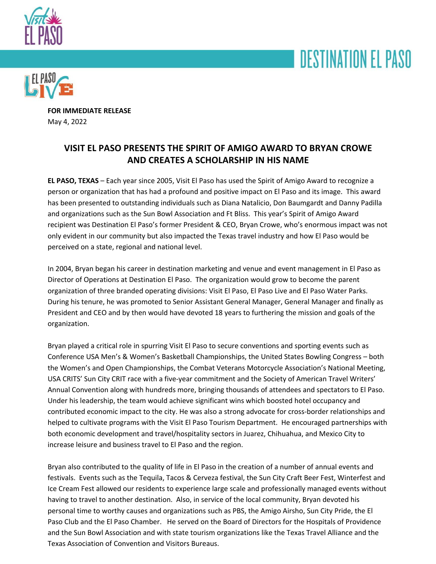





**FOR IMMEDIATE RELEASE** May 4, 2022

## **VISIT EL PASO PRESENTS THE SPIRIT OF AMIGO AWARD TO BRYAN CROWE AND CREATES A SCHOLARSHIP IN HIS NAME**

**EL PASO, TEXAS** – Each year since 2005, Visit El Paso has used the Spirit of Amigo Award to recognize a person or organization that has had a profound and positive impact on El Paso and its image. This award has been presented to outstanding individuals such as Diana Natalicio, Don Baumgardt and Danny Padilla and organizations such as the Sun Bowl Association and Ft Bliss. This year's Spirit of Amigo Award recipient was Destination El Paso's former President & CEO, Bryan Crowe, who's enormous impact was not only evident in our community but also impacted the Texas travel industry and how El Paso would be perceived on a state, regional and national level.

In 2004, Bryan began his career in destination marketing and venue and event management in El Paso as Director of Operations at Destination El Paso. The organization would grow to become the parent organization of three branded operating divisions: Visit El Paso, El Paso Live and El Paso Water Parks. During his tenure, he was promoted to Senior Assistant General Manager, General Manager and finally as President and CEO and by then would have devoted 18 years to furthering the mission and goals of the organization.

Bryan played a critical role in spurring Visit El Paso to secure conventions and sporting events such as Conference USA Men's & Women's Basketball Championships, the United States Bowling Congress – both the Women's and Open Championships, the Combat Veterans Motorcycle Association's National Meeting, USA CRITS' Sun City CRIT race with a five-year commitment and the Society of American Travel Writers' Annual Convention along with hundreds more, bringing thousands of attendees and spectators to El Paso. Under his leadership, the team would achieve significant wins which boosted hotel occupancy and contributed economic impact to the city. He was also a strong advocate for cross-border relationships and helped to cultivate programs with the Visit El Paso Tourism Department. He encouraged partnerships with both economic development and travel/hospitality sectors in Juarez, Chihuahua, and Mexico City to increase leisure and business travel to El Paso and the region.

Bryan also contributed to the quality of life in El Paso in the creation of a number of annual events and festivals. Events such as the Tequila, Tacos & Cerveza festival, the Sun City Craft Beer Fest, Winterfest and Ice Cream Fest allowed our residents to experience large scale and professionally managed events without having to travel to another destination. Also, in service of the local community, Bryan devoted his personal time to worthy causes and organizations such as PBS, the Amigo Airsho, Sun City Pride, the El Paso Club and the El Paso Chamber. He served on the Board of Directors for the Hospitals of Providence and the Sun Bowl Association and with state tourism organizations like the Texas Travel Alliance and the Texas Association of Convention and Visitors Bureaus.